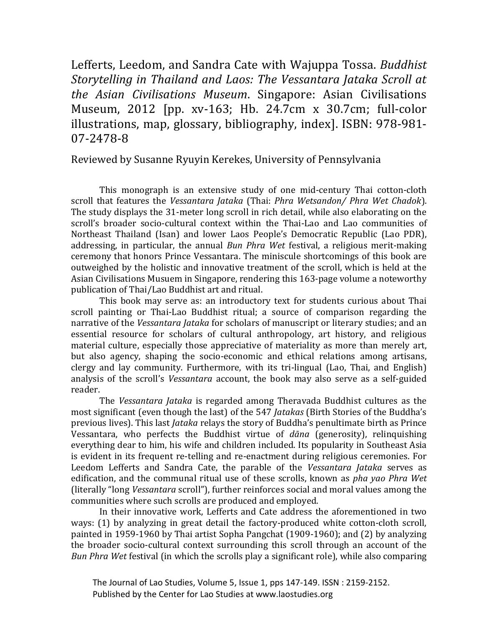Lefferts, Leedom, and Sandra Cate with Wajuppa Tossa. *Buddhist Storytelling in Thailand and Laos: The Vessantara Jataka Scroll at the Asian Civilisations Museum*. Singapore: Asian Civilisations Museum, 2012 [pp. xv-163; Hb. 24.7cm x 30.7cm; full-color illustrations, map, glossary, bibliography, index]. ISBN: 978-981- 07-2478-8

Reviewed by Susanne Ryuyin Kerekes, University of Pennsylvania

This monograph is an extensive study of one mid-century Thai cotton-cloth scroll that features the *Vessantara Jataka* (Thai: *Phra Wetsandon/ Phra Wet Chadok*). The study displays the 31-meter long scroll in rich detail, while also elaborating on the scroll's broader socio-cultural context within the Thai-Lao and Lao communities of Northeast Thailand (Isan) and lower Laos People's Democratic Republic (Lao PDR), addressing, in particular, the annual *Bun Phra Wet* festival, a religious merit-making ceremony that honors Prince Vessantara. The miniscule shortcomings of this book are outweighed by the holistic and innovative treatment of the scroll, which is held at the Asian Civilisations Musuem in Singapore, rendering this 163-page volume a noteworthy publication of Thai/Lao Buddhist art and ritual.

This book may serve as: an introductory text for students curious about Thai scroll painting or Thai-Lao Buddhist ritual; a source of comparison regarding the narrative of the *Vessantara Jataka* for scholars of manuscript or literary studies; and an essential resource for scholars of cultural anthropology, art history, and religious material culture, especially those appreciative of materiality as more than merely art, but also agency, shaping the socio-economic and ethical relations among artisans, clergy and lay community. Furthermore, with its tri-lingual (Lao, Thai, and English) analysis of the scroll's *Vessantara* account, the book may also serve as a self-guided reader.

The *Vessantara Jataka* is regarded among Theravada Buddhist cultures as the most significant (even though the last) of the 547 *Jatakas* (Birth Stories of the Buddha's previous lives). This last *Jataka* relays the story of Buddha's penultimate birth as Prince Vessantara, who perfects the Buddhist virtue of *dāna* (generosity), relinquishing everything dear to him, his wife and children included. Its popularity in Southeast Asia is evident in its frequent re-telling and re-enactment during religious ceremonies. For Leedom Lefferts and Sandra Cate, the parable of the *Vessantara Jataka* serves as edification, and the communal ritual use of these scrolls, known as *pha yao Phra Wet* (literally "long *Vessantara* scroll"), further reinforces social and moral values among the communities where such scrolls are produced and employed.

In their innovative work, Lefferts and Cate address the aforementioned in two ways: (1) by analyzing in great detail the factory-produced white cotton-cloth scroll, painted in 1959-1960 by Thai artist Sopha Pangchat (1909-1960); and (2) by analyzing the broader socio-cultural context surrounding this scroll through an account of the *Bun Phra Wet* festival (in which the scrolls play a significant role), while also comparing

 The Journal of Lao Studies, Volume 5, Issue 1, pps 147-149. ISSN : 2159-2152. Published by the Center for Lao Studies at www.laostudies.org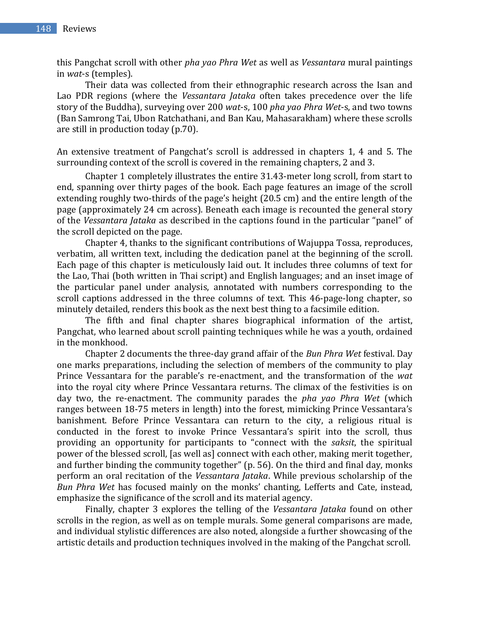this Pangchat scroll with other *pha yao Phra Wet* as well as *Vessantara* mural paintings in *wat*-s (temples).

Their data was collected from their ethnographic research across the Isan and Lao PDR regions (where the *Vessantara Jataka* often takes precedence over the life story of the Buddha), surveying over 200 *wat*-s, 100 *pha yao Phra Wet*-s, and two towns (Ban Samrong Tai, Ubon Ratchathani, and Ban Kau, Mahasarakham) where these scrolls are still in production today (p.70).

An extensive treatment of Pangchat's scroll is addressed in chapters 1, 4 and 5. The surrounding context of the scroll is covered in the remaining chapters, 2 and 3.

Chapter 1 completely illustrates the entire 31.43-meter long scroll, from start to end, spanning over thirty pages of the book. Each page features an image of the scroll extending roughly two-thirds of the page's height (20.5 cm) and the entire length of the page (approximately 24 cm across). Beneath each image is recounted the general story of the *Vessantara Jataka* as described in the captions found in the particular "panel" of the scroll depicted on the page.

Chapter 4, thanks to the significant contributions of Wajuppa Tossa, reproduces, verbatim, all written text, including the dedication panel at the beginning of the scroll. Each page of this chapter is meticulously laid out. It includes three columns of text for the Lao, Thai (both written in Thai script) and English languages; and an inset image of the particular panel under analysis, annotated with numbers corresponding to the scroll captions addressed in the three columns of text. This 46-page-long chapter, so minutely detailed, renders this book as the next best thing to a facsimile edition.

The fifth and final chapter shares biographical information of the artist, Pangchat, who learned about scroll painting techniques while he was a youth, ordained in the monkhood.

Chapter 2 documents the three-day grand affair of the *Bun Phra Wet* festival. Day one marks preparations, including the selection of members of the community to play Prince Vessantara for the parable's re-enactment, and the transformation of the *wat*  into the royal city where Prince Vessantara returns. The climax of the festivities is on day two, the re-enactment. The community parades the *pha yao Phra Wet* (which ranges between 18-75 meters in length) into the forest, mimicking Prince Vessantara's banishment. Before Prince Vessantara can return to the city, a religious ritual is conducted in the forest to invoke Prince Vessantara's spirit into the scroll, thus providing an opportunity for participants to "connect with the *saksit*, the spiritual power of the blessed scroll, [as well as] connect with each other, making merit together, and further binding the community together" (p. 56). On the third and final day, monks perform an oral recitation of the *Vessantara Jataka*. While previous scholarship of the *Bun Phra Wet* has focused mainly on the monks' chanting, Lefferts and Cate, instead, emphasize the significance of the scroll and its material agency.

Finally, chapter 3 explores the telling of the *Vessantara Jataka* found on other scrolls in the region, as well as on temple murals. Some general comparisons are made, and individual stylistic differences are also noted, alongside a further showcasing of the artistic details and production techniques involved in the making of the Pangchat scroll.